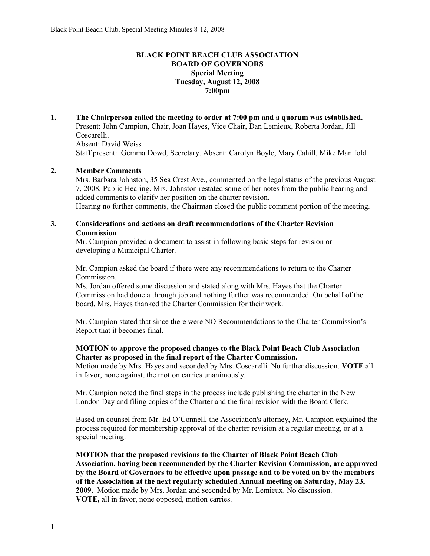# **BLACK POINT BEACH CLUB ASSOCIATION BOARD OF GOVERNORS Special Meeting Tuesday, August 12, 2008 7:00pm**

**1. The Chairperson called the meeting to order at 7:00 pm and a quorum was established.**  Present: John Campion, Chair, Joan Hayes, Vice Chair, Dan Lemieux, Roberta Jordan, Jill Coscarelli. Absent: David Weiss

Staff present: Gemma Dowd, Secretary. Absent: Carolyn Boyle, Mary Cahill, Mike Manifold

## **2. Member Comments**

Mrs. Barbara Johnston, 35 Sea Crest Ave., commented on the legal status of the previous August 7, 2008, Public Hearing. Mrs. Johnston restated some of her notes from the public hearing and added comments to clarify her position on the charter revision. Hearing no further comments, the Chairman closed the public comment portion of the meeting.

# **3. Considerations and actions on draft recommendations of the Charter Revision Commission**

Mr. Campion provided a document to assist in following basic steps for revision or developing a Municipal Charter.

Mr. Campion asked the board if there were any recommendations to return to the Charter Commission.

Ms. Jordan offered some discussion and stated along with Mrs. Hayes that the Charter Commission had done a through job and nothing further was recommended. On behalf of the board, Mrs. Hayes thanked the Charter Commission for their work.

Mr. Campion stated that since there were NO Recommendations to the Charter Commission's Report that it becomes final.

## **MOTION to approve the proposed changes to the Black Point Beach Club Association Charter as proposed in the final report of the Charter Commission.**

Motion made by Mrs. Hayes and seconded by Mrs. Coscarelli. No further discussion. **VOTE** all in favor, none against, the motion carries unanimously.

Mr. Campion noted the final steps in the process include publishing the charter in the New London Day and filing copies of the Charter and the final revision with the Board Clerk.

Based on counsel from Mr. Ed O'Connell, the Association's attorney, Mr. Campion explained the process required for membership approval of the charter revision at a regular meeting, or at a special meeting.

**MOTION that the proposed revisions to the Charter of Black Point Beach Club Association, having been recommended by the Charter Revision Commission, are approved by the Board of Governors to be effective upon passage and to be voted on by the members of the Association at the next regularly scheduled Annual meeting on Saturday, May 23, 2009.** Motion made by Mrs. Jordan and seconded by Mr. Lemieux. No discussion. **VOTE,** all in favor, none opposed, motion carries.